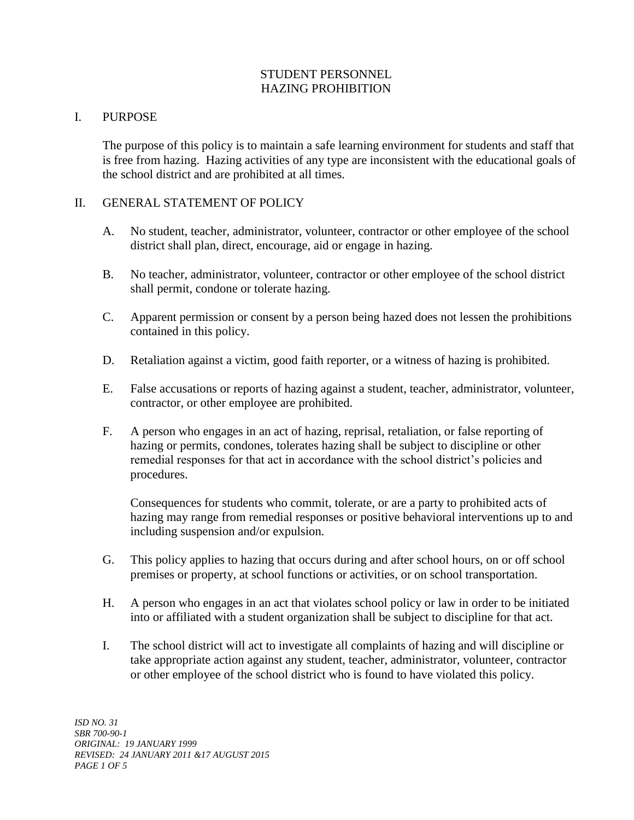# STUDENT PERSONNEL HAZING PROHIBITION

## I. PURPOSE

The purpose of this policy is to maintain a safe learning environment for students and staff that is free from hazing. Hazing activities of any type are inconsistent with the educational goals of the school district and are prohibited at all times.

#### II. GENERAL STATEMENT OF POLICY

- A. No student, teacher, administrator, volunteer, contractor or other employee of the school district shall plan, direct, encourage, aid or engage in hazing.
- B. No teacher, administrator, volunteer, contractor or other employee of the school district shall permit, condone or tolerate hazing.
- C. Apparent permission or consent by a person being hazed does not lessen the prohibitions contained in this policy.
- D. Retaliation against a victim, good faith reporter, or a witness of hazing is prohibited.
- E. False accusations or reports of hazing against a student, teacher, administrator, volunteer, contractor, or other employee are prohibited.
- F. A person who engages in an act of hazing, reprisal, retaliation, or false reporting of hazing or permits, condones, tolerates hazing shall be subject to discipline or other remedial responses for that act in accordance with the school district's policies and procedures.

Consequences for students who commit, tolerate, or are a party to prohibited acts of hazing may range from remedial responses or positive behavioral interventions up to and including suspension and/or expulsion.

- G. This policy applies to hazing that occurs during and after school hours, on or off school premises or property, at school functions or activities, or on school transportation.
- H. A person who engages in an act that violates school policy or law in order to be initiated into or affiliated with a student organization shall be subject to discipline for that act.
- I. The school district will act to investigate all complaints of hazing and will discipline or take appropriate action against any student, teacher, administrator, volunteer, contractor or other employee of the school district who is found to have violated this policy.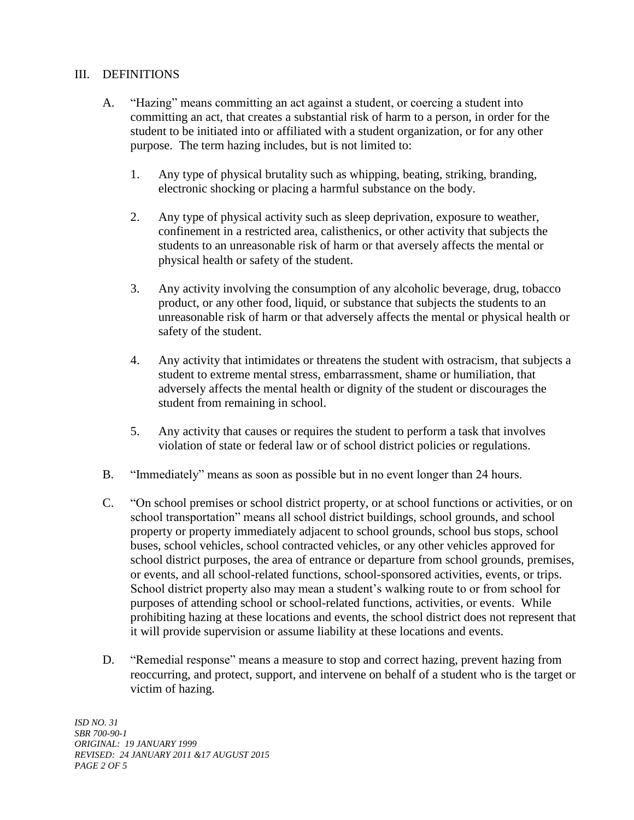## III. DEFINITIONS

- A. "Hazing" means committing an act against a student, or coercing a student into committing an act, that creates a substantial risk of harm to a person, in order for the student to be initiated into or affiliated with a student organization, or for any other purpose. The term hazing includes, but is not limited to:
	- 1. Any type of physical brutality such as whipping, beating, striking, branding, electronic shocking or placing a harmful substance on the body.
	- 2. Any type of physical activity such as sleep deprivation, exposure to weather, confinement in a restricted area, calisthenics, or other activity that subjects the students to an unreasonable risk of harm or that aversely affects the mental or physical health or safety of the student.
	- 3. Any activity involving the consumption of any alcoholic beverage, drug, tobacco product, or any other food, liquid, or substance that subjects the students to an unreasonable risk of harm or that adversely affects the mental or physical health or safety of the student.
	- 4. Any activity that intimidates or threatens the student with ostracism, that subjects a student to extreme mental stress, embarrassment, shame or humiliation, that adversely affects the mental health or dignity of the student or discourages the student from remaining in school.
	- 5. Any activity that causes or requires the student to perform a task that involves violation of state or federal law or of school district policies or regulations.
- B. "Immediately" means as soon as possible but in no event longer than 24 hours.
- C. "On school premises or school district property, or at school functions or activities, or on school transportation" means all school district buildings, school grounds, and school property or property immediately adjacent to school grounds, school bus stops, school buses, school vehicles, school contracted vehicles, or any other vehicles approved for school district purposes, the area of entrance or departure from school grounds, premises, or events, and all school-related functions, school-sponsored activities, events, or trips. School district property also may mean a student's walking route to or from school for purposes of attending school or school-related functions, activities, or events. While prohibiting hazing at these locations and events, the school district does not represent that it will provide supervision or assume liability at these locations and events.
- D. "Remedial response" means a measure to stop and correct hazing, prevent hazing from reoccurring, and protect, support, and intervene on behalf of a student who is the target or victim of hazing.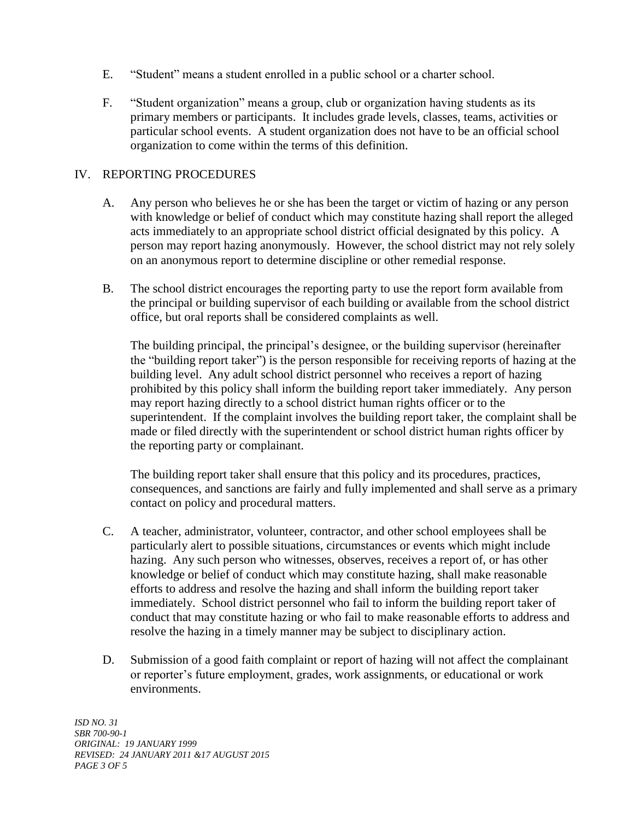- E. "Student" means a student enrolled in a public school or a charter school.
- F. "Student organization" means a group, club or organization having students as its primary members or participants. It includes grade levels, classes, teams, activities or particular school events. A student organization does not have to be an official school organization to come within the terms of this definition.

#### IV. REPORTING PROCEDURES

- A. Any person who believes he or she has been the target or victim of hazing or any person with knowledge or belief of conduct which may constitute hazing shall report the alleged acts immediately to an appropriate school district official designated by this policy. A person may report hazing anonymously. However, the school district may not rely solely on an anonymous report to determine discipline or other remedial response.
- B. The school district encourages the reporting party to use the report form available from the principal or building supervisor of each building or available from the school district office, but oral reports shall be considered complaints as well.

The building principal, the principal's designee, or the building supervisor (hereinafter the "building report taker") is the person responsible for receiving reports of hazing at the building level. Any adult school district personnel who receives a report of hazing prohibited by this policy shall inform the building report taker immediately. Any person may report hazing directly to a school district human rights officer or to the superintendent. If the complaint involves the building report taker, the complaint shall be made or filed directly with the superintendent or school district human rights officer by the reporting party or complainant.

The building report taker shall ensure that this policy and its procedures, practices, consequences, and sanctions are fairly and fully implemented and shall serve as a primary contact on policy and procedural matters.

- C. A teacher, administrator, volunteer, contractor, and other school employees shall be particularly alert to possible situations, circumstances or events which might include hazing. Any such person who witnesses, observes, receives a report of, or has other knowledge or belief of conduct which may constitute hazing, shall make reasonable efforts to address and resolve the hazing and shall inform the building report taker immediately. School district personnel who fail to inform the building report taker of conduct that may constitute hazing or who fail to make reasonable efforts to address and resolve the hazing in a timely manner may be subject to disciplinary action.
- D. Submission of a good faith complaint or report of hazing will not affect the complainant or reporter's future employment, grades, work assignments, or educational or work environments.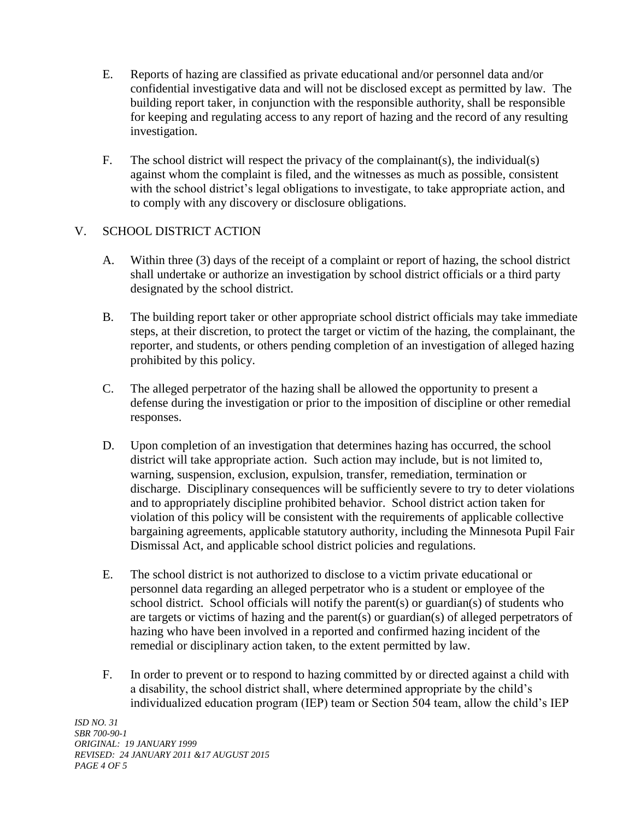- E. Reports of hazing are classified as private educational and/or personnel data and/or confidential investigative data and will not be disclosed except as permitted by law. The building report taker, in conjunction with the responsible authority, shall be responsible for keeping and regulating access to any report of hazing and the record of any resulting investigation.
- F. The school district will respect the privacy of the complainant(s), the individual(s) against whom the complaint is filed, and the witnesses as much as possible, consistent with the school district's legal obligations to investigate, to take appropriate action, and to comply with any discovery or disclosure obligations.

# V. SCHOOL DISTRICT ACTION

- A. Within three (3) days of the receipt of a complaint or report of hazing, the school district shall undertake or authorize an investigation by school district officials or a third party designated by the school district.
- B. The building report taker or other appropriate school district officials may take immediate steps, at their discretion, to protect the target or victim of the hazing, the complainant, the reporter, and students, or others pending completion of an investigation of alleged hazing prohibited by this policy.
- C. The alleged perpetrator of the hazing shall be allowed the opportunity to present a defense during the investigation or prior to the imposition of discipline or other remedial responses.
- D. Upon completion of an investigation that determines hazing has occurred, the school district will take appropriate action. Such action may include, but is not limited to, warning, suspension, exclusion, expulsion, transfer, remediation, termination or discharge. Disciplinary consequences will be sufficiently severe to try to deter violations and to appropriately discipline prohibited behavior. School district action taken for violation of this policy will be consistent with the requirements of applicable collective bargaining agreements, applicable statutory authority, including the Minnesota Pupil Fair Dismissal Act, and applicable school district policies and regulations.
- E. The school district is not authorized to disclose to a victim private educational or personnel data regarding an alleged perpetrator who is a student or employee of the school district. School officials will notify the parent(s) or guardian(s) of students who are targets or victims of hazing and the parent(s) or guardian(s) of alleged perpetrators of hazing who have been involved in a reported and confirmed hazing incident of the remedial or disciplinary action taken, to the extent permitted by law.
- F. In order to prevent or to respond to hazing committed by or directed against a child with a disability, the school district shall, where determined appropriate by the child's individualized education program (IEP) team or Section 504 team, allow the child's IEP